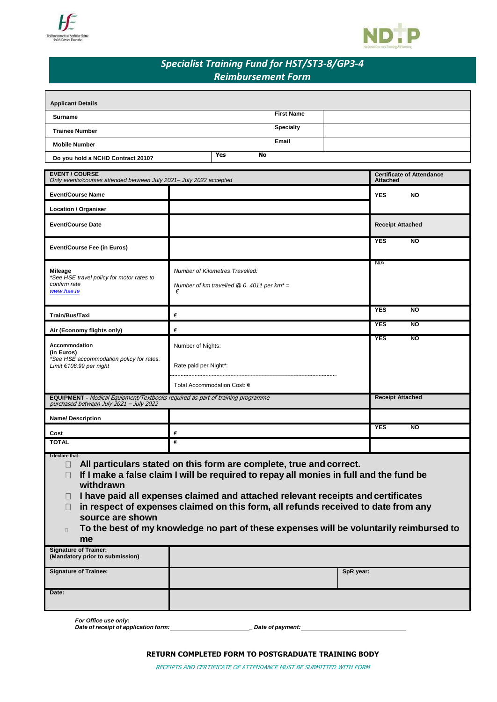



# *Specialist Training Fund for HST/ST3-8/GP3-4 Reimbursement Form*

| <b>Applicant Details</b>          |                   |  |
|-----------------------------------|-------------------|--|
| Surname                           | <b>First Name</b> |  |
| <b>Trainee Number</b>             | <b>Specialty</b>  |  |
| <b>Mobile Number</b>              | Email             |  |
| Do you hold a NCHD Contract 2010? | <b>Yes</b><br>No. |  |

| <b>EVENT / COURSE</b><br>Only events/courses attended between July 2021- July 2022 accepted                                      |                                                                                                | <b>Certificate of Attendance</b><br><b>Attached</b> |  |
|----------------------------------------------------------------------------------------------------------------------------------|------------------------------------------------------------------------------------------------|-----------------------------------------------------|--|
| <b>Event/Course Name</b>                                                                                                         |                                                                                                | <b>YES</b><br><b>NO</b>                             |  |
| <b>Location / Organiser</b>                                                                                                      |                                                                                                |                                                     |  |
| <b>Event/Course Date</b>                                                                                                         |                                                                                                | <b>Receipt Attached</b>                             |  |
| <b>Event/Course Fee (in Euros)</b>                                                                                               |                                                                                                | <b>NO</b><br><b>YES</b>                             |  |
| <b>Mileage</b><br>*See HSE travel policy for motor rates to<br>confirm rate<br>www.hse.ie                                        | Number of Kilometres Travelled:<br>Number of km travelled $@0.4011$ per km <sup>*</sup> =<br>€ | N/A                                                 |  |
| Train/Bus/Taxi                                                                                                                   | €                                                                                              | <b>YES</b><br>$\overline{N}$                        |  |
| Air (Economy flights only)                                                                                                       | €                                                                                              | <b>YES</b><br>$\overline{N}$                        |  |
| Accommodation<br>(in Euros)<br>*See HSE accommodation policy for rates.<br>Limit €108.99 per night                               | Number of Nights:                                                                              | <b>YES</b><br><b>NO</b>                             |  |
|                                                                                                                                  | Rate paid per Night*:                                                                          |                                                     |  |
|                                                                                                                                  | Total Accommodation Cost: €                                                                    |                                                     |  |
| <b>EQUIPMENT</b> - Medical Equipment/Textbooks required as part of training programme<br>purchased between July 2021 - July 2022 |                                                                                                | <b>Receipt Attached</b>                             |  |
| <b>Name/Description</b>                                                                                                          |                                                                                                |                                                     |  |
| Cost                                                                                                                             | €                                                                                              | <b>NO</b><br><b>YES</b>                             |  |
| <b>TOTAL</b>                                                                                                                     | €                                                                                              |                                                     |  |
| I declare that:<br>All particulars stated on this form are complete, true and correct.<br>$\Box$                                 |                                                                                                |                                                     |  |

**If I make a false claim I will be required to repay all monies in full and the fund be withdrawn**

**I have paid all expenses claimed and attached relevant receipts andcertificates**

**in respect of expenses claimed on this form, all refunds received to date from any source are shown**

**To the best of my knowledge no part of these expenses will be voluntarily reimbursed to**   $\Box$ **me**

| <b>Signature of Trainer:</b><br>(Mandatory prior to submission) |           |
|-----------------------------------------------------------------|-----------|
| <b>Signature of Trainee:</b>                                    | SpR year: |
| Date:                                                           |           |

*For Office use only: Date of receipt of application form: \_ Date of payment:*

**RETURN COMPLETED FORM TO POSTGRADUATE TRAINING BODY**